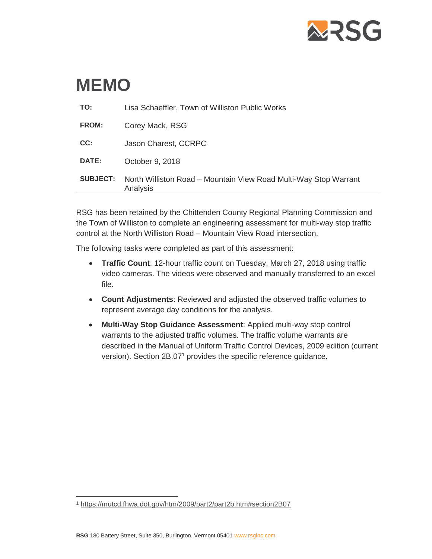

# **MEMO**

| <b>SUBJECT:</b> | North Williston Road - Mountain View Road Multi-Way Stop Warrant<br>Analysis |
|-----------------|------------------------------------------------------------------------------|
| DATE:           | October 9, 2018                                                              |
| CC:             | Jason Charest, CCRPC                                                         |
| FROM:           | Corey Mack, RSG                                                              |
| TO:             | Lisa Schaeffler, Town of Williston Public Works                              |

RSG has been retained by the Chittenden County Regional Planning Commission and the Town of Williston to complete an engineering assessment for multi-way stop traffic control at the North Williston Road – Mountain View Road intersection.

The following tasks were completed as part of this assessment:

- **Traffic Count**: 12-hour traffic count on Tuesday, March 27, 2018 using traffic video cameras. The videos were observed and manually transferred to an excel file.
- **Count Adjustments**: Reviewed and adjusted the observed traffic volumes to represent average day conditions for the analysis.
- **Multi-Way Stop Guidance Assessment**: Applied multi-way stop control warrants to the adjusted traffic volumes. The traffic volume warrants are described in the Manual of Uniform Traffic Control Devices, 2009 edition (current version). Section 2B.07<sup>1</sup> provides the specific reference guidance.

 $\overline{a}$ <sup>1</sup> <https://mutcd.fhwa.dot.gov/htm/2009/part2/part2b.htm#section2B07>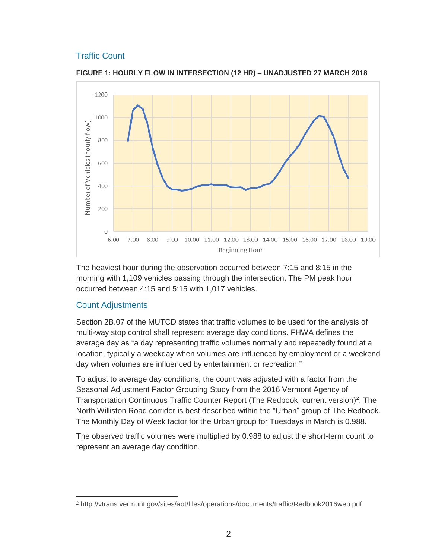### Traffic Count



**FIGURE 1: HOURLY FLOW IN INTERSECTION (12 HR) – UNADJUSTED 27 MARCH 2018**

The heaviest hour during the observation occurred between 7:15 and 8:15 in the morning with 1,109 vehicles passing through the intersection. The PM peak hour occurred between 4:15 and 5:15 with 1,017 vehicles.

### Count Adjustments

Section 2B.07 of the MUTCD states that traffic volumes to be used for the analysis of multi-way stop control shall represent average day conditions. FHWA defines the average day as "a day representing traffic volumes normally and repeatedly found at a location, typically a weekday when volumes are influenced by employment or a weekend day when volumes are influenced by entertainment or recreation."

To adjust to average day conditions, the count was adjusted with a factor from the Seasonal Adjustment Factor Grouping Study from the 2016 Vermont Agency of Transportation Continuous Traffic Counter Report (The Redbook, current version)<sup>2</sup>. The North Williston Road corridor is best described within the "Urban" group of The Redbook. The Monthly Day of Week factor for the Urban group for Tuesdays in March is 0.988.

The observed traffic volumes were multiplied by 0.988 to adjust the short-term count to represent an average day condition.

 $\overline{a}$ <sup>2</sup> <http://vtrans.vermont.gov/sites/aot/files/operations/documents/traffic/Redbook2016web.pdf>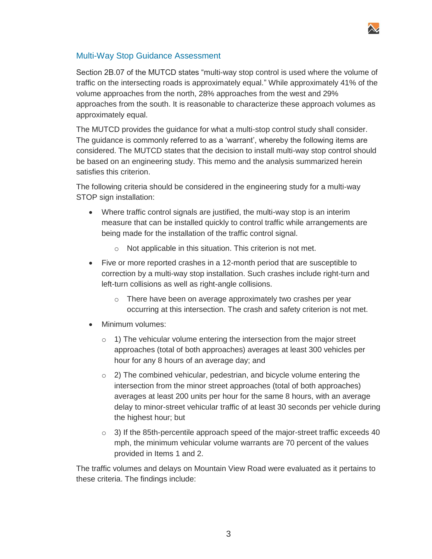

### Multi-Way Stop Guidance Assessment

Section 2B.07 of the MUTCD states "multi-way stop control is used where the volume of traffic on the intersecting roads is approximately equal." While approximately 41% of the volume approaches from the north, 28% approaches from the west and 29% approaches from the south. It is reasonable to characterize these approach volumes as approximately equal.

The MUTCD provides the guidance for what a multi-stop control study shall consider. The guidance is commonly referred to as a 'warrant', whereby the following items are considered. The MUTCD states that the decision to install multi-way stop control should be based on an engineering study. This memo and the analysis summarized herein satisfies this criterion.

The following criteria should be considered in the engineering study for a multi-way STOP sign installation:

- Where traffic control signals are justified, the multi-way stop is an interim measure that can be installed quickly to control traffic while arrangements are being made for the installation of the traffic control signal.
	- o Not applicable in this situation. This criterion is not met.
- Five or more reported crashes in a 12-month period that are susceptible to correction by a multi-way stop installation. Such crashes include right-turn and left-turn collisions as well as right-angle collisions.
	- o There have been on average approximately two crashes per year occurring at this intersection. The crash and safety criterion is not met.
- Minimum volumes:
	- $\circ$  1) The vehicular volume entering the intersection from the major street approaches (total of both approaches) averages at least 300 vehicles per hour for any 8 hours of an average day; and
	- $\circ$  2) The combined vehicular, pedestrian, and bicycle volume entering the intersection from the minor street approaches (total of both approaches) averages at least 200 units per hour for the same 8 hours, with an average delay to minor-street vehicular traffic of at least 30 seconds per vehicle during the highest hour; but
	- $\circ$  3) If the 85th-percentile approach speed of the major-street traffic exceeds 40 mph, the minimum vehicular volume warrants are 70 percent of the values provided in Items 1 and 2.

The traffic volumes and delays on Mountain View Road were evaluated as it pertains to these criteria. The findings include: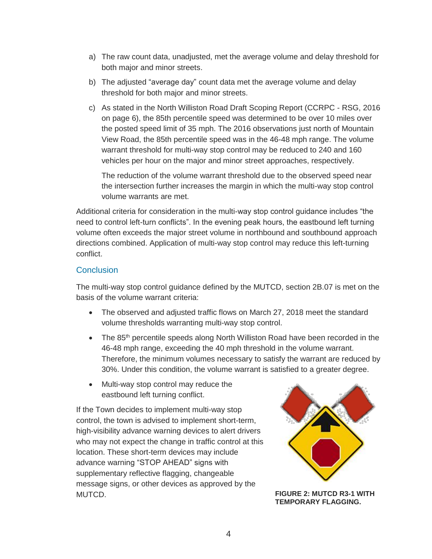- a) The raw count data, unadjusted, met the average volume and delay threshold for both major and minor streets.
- b) The adjusted "average day" count data met the average volume and delay threshold for both major and minor streets.
- c) As stated in the North Williston Road Draft Scoping Report (CCRPC RSG, 2016 on page 6), the 85th percentile speed was determined to be over 10 miles over the posted speed limit of 35 mph. The 2016 observations just north of Mountain View Road, the 85th percentile speed was in the 46-48 mph range. The volume warrant threshold for multi-way stop control may be reduced to 240 and 160 vehicles per hour on the major and minor street approaches, respectively.

The reduction of the volume warrant threshold due to the observed speed near the intersection further increases the margin in which the multi-way stop control volume warrants are met.

Additional criteria for consideration in the multi-way stop control guidance includes "the need to control left-turn conflicts". In the evening peak hours, the eastbound left turning volume often exceeds the major street volume in northbound and southbound approach directions combined. Application of multi-way stop control may reduce this left-turning conflict.

### **Conclusion**

The multi-way stop control guidance defined by the MUTCD, section 2B.07 is met on the basis of the volume warrant criteria:

- The observed and adjusted traffic flows on March 27, 2018 meet the standard volume thresholds warranting multi-way stop control.
- The 85<sup>th</sup> percentile speeds along North Williston Road have been recorded in the 46-48 mph range, exceeding the 40 mph threshold in the volume warrant. Therefore, the minimum volumes necessary to satisfy the warrant are reduced by 30%. Under this condition, the volume warrant is satisfied to a greater degree.
- Multi-way stop control may reduce the eastbound left turning conflict.

If the Town decides to implement multi-way stop control, the town is advised to implement short-term, high-visibility advance warning devices to alert drivers who may not expect the change in traffic control at this location. These short-term devices may include advance warning "STOP AHEAD" signs with supplementary reflective flagging, changeable message signs, or other devices as approved by the MUTCD. **FIGURE 2: MUTCD R3-1 WITH** 



**TEMPORARY FLAGGING.**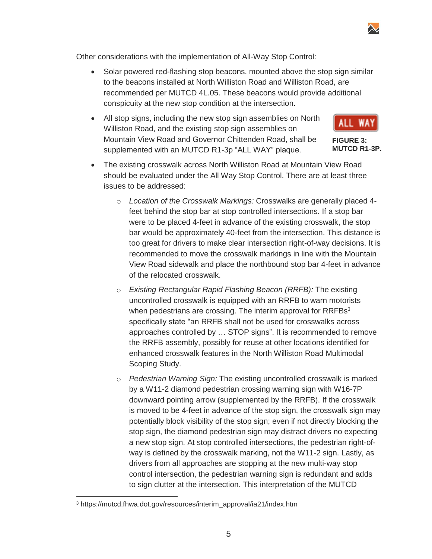Other considerations with the implementation of All-Way Stop Control:

- Solar powered red-flashing stop beacons, mounted above the stop sign similar to the beacons installed at North Williston Road and Williston Road, are recommended per MUTCD 4L.05. These beacons would provide additional conspicuity at the new stop condition at the intersection.
- All stop signs, including the new stop sign assemblies on North Williston Road, and the existing stop sign assemblies on Mountain View Road and Governor Chittenden Road, shall be supplemented with an MUTCD R1-3p "ALL WAY" plaque.
- The existing crosswalk across North Williston Road at Mountain View Road should be evaluated under the All Way Stop Control. There are at least three issues to be addressed:
	- o *Location of the Crosswalk Markings:* Crosswalks are generally placed 4 feet behind the stop bar at stop controlled intersections. If a stop bar were to be placed 4-feet in advance of the existing crosswalk, the stop bar would be approximately 40-feet from the intersection. This distance is too great for drivers to make clear intersection right-of-way decisions. It is recommended to move the crosswalk markings in line with the Mountain View Road sidewalk and place the northbound stop bar 4-feet in advance of the relocated crosswalk.
	- o *Existing Rectangular Rapid Flashing Beacon (RRFB):* The existing uncontrolled crosswalk is equipped with an RRFB to warn motorists when pedestrians are crossing. The interim approval for RRFBs<sup>3</sup> specifically state "an RRFB shall not be used for crosswalks across approaches controlled by … STOP signs". It is recommended to remove the RRFB assembly, possibly for reuse at other locations identified for enhanced crosswalk features in the North Williston Road Multimodal Scoping Study.
	- o *Pedestrian Warning Sign:* The existing uncontrolled crosswalk is marked by a W11-2 diamond pedestrian crossing warning sign with W16-7P downward pointing arrow (supplemented by the RRFB). If the crosswalk is moved to be 4-feet in advance of the stop sign, the crosswalk sign may potentially block visibility of the stop sign; even if not directly blocking the stop sign, the diamond pedestrian sign may distract drivers no expecting a new stop sign. At stop controlled intersections, the pedestrian right-ofway is defined by the crosswalk marking, not the W11-2 sign. Lastly, as drivers from all approaches are stopping at the new multi-way stop control intersection, the pedestrian warning sign is redundant and adds to sign clutter at the intersection. This interpretation of the MUTCD

 $\overline{a}$ 



**FIGURE 3: MUTCD R1-3P.**



<sup>3</sup> https://mutcd.fhwa.dot.gov/resources/interim\_approval/ia21/index.htm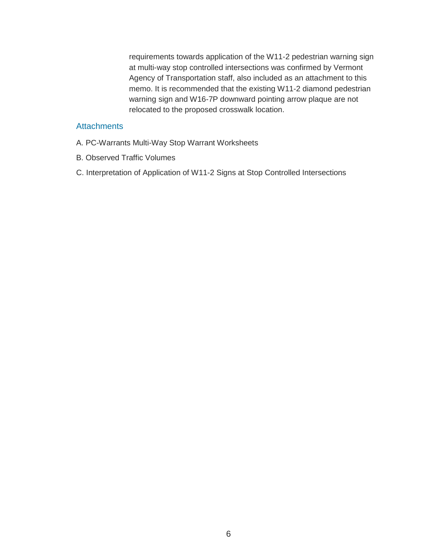requirements towards application of the W11-2 pedestrian warning sign at multi-way stop controlled intersections was confirmed by Vermont Agency of Transportation staff, also included as an attachment to this memo. It is recommended that the existing W11-2 diamond pedestrian warning sign and W16-7P downward pointing arrow plaque are not relocated to the proposed crosswalk location.

### **Attachments**

- A. PC-Warrants Multi-Way Stop Warrant Worksheets
- B. Observed Traffic Volumes
- C. Interpretation of Application of W11-2 Signs at Stop Controlled Intersections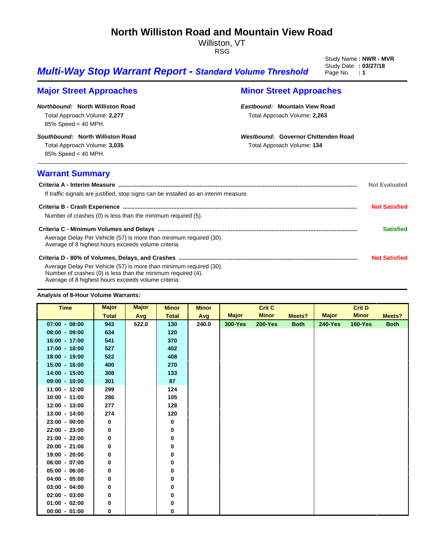### **North Williston Road and Mountain View Road**

Williston, VT RSG

Study Name: **NWR - MVR**<br>Study Date: 03/27/18

## **Multi-Way Stop Warrant Report - Standard Volume Threshold** Page No. : 1

### **Major Street Approaches Minor Street Approaches**

*Northbound:* **North Williston Road** Total Approach Volume: **2,277** 85% Speed < 40 MPH.

*Southbound:* **North Williston Road**

Total Approach Volume: **3,035** 85% Speed < 40 MPH.

### *Eastbound:* **Mountain View Road** Total Approach Volume: **2,263**

*Westbound:* **Governor Chittenden Road**

Total Approach Volume: **134**

### **Warrant Summary**

| If traffic signals are justified, stop signs can be installed as an interim measure.                                                                                                      | <b>Not Evaluated</b> |
|-------------------------------------------------------------------------------------------------------------------------------------------------------------------------------------------|----------------------|
| Number of crashes (0) is less than the minimum required (5).                                                                                                                              | <b>Not Satisfied</b> |
| Average Delay Per Vehicle (57) is more than minimum required (30).<br>Average of 8 highest hours exceeds volume criteria.                                                                 | <b>Satisfied</b>     |
| Average Delay Per Vehicle (57) is more than minimum required (30).<br>Number of crashes (0) is less than the minimum required (4).<br>Average of 8 highest hours exceeds volume criteria. | <b>Not Satisfied</b> |

#### **Analysis of 8-Hour Volume Warrants:**

| <b>Time</b>     | <b>Major</b> | <b>Major</b> | <b>Minor</b> | <b>Minor</b> |                | <b>Crit C</b>  |             |                | <b>Crit D</b>  |             |
|-----------------|--------------|--------------|--------------|--------------|----------------|----------------|-------------|----------------|----------------|-------------|
|                 | <b>Total</b> | Avg          | <b>Total</b> | Avg          | <b>Major</b>   | <b>Minor</b>   | Meets?      | <b>Major</b>   | <b>Minor</b>   | Meets?      |
| $07:00 - 08:00$ | 943          | 522.0        | 130          | 240.0        | <b>300-Yes</b> | <b>200-Yes</b> | <b>Both</b> | <b>240-Yes</b> | <b>160-Yes</b> | <b>Both</b> |
| $08:00 - 09:00$ | 634          |              | 120          |              |                |                |             |                |                |             |
| $16:00 - 17:00$ | 541          |              | 370          |              |                |                |             |                |                |             |
| $17:00 - 18:00$ | 527          |              | 402          |              |                |                |             |                |                |             |
| $18:00 - 19:00$ | 522          |              | 408          |              |                |                |             |                |                |             |
| $15:00 - 16:00$ | 400          |              | 270          |              |                |                |             |                |                |             |
| $14:00 - 15:00$ | 308          |              | 133          |              |                |                |             |                |                |             |
| $09:00 - 10:00$ | 301          |              | 87           |              |                |                |             |                |                |             |
| $11:00 - 12:00$ | 299          |              | 124          |              |                |                |             |                |                |             |
| $10:00 - 11:00$ | 286          |              | 105          |              |                |                |             |                |                |             |
| $12:00 - 13:00$ | 277          |              | 128          |              |                |                |             |                |                |             |
| $13:00 - 14:00$ | 274          |              | 120          |              |                |                |             |                |                |             |
| $23:00 - 00:00$ | 0            |              | 0            |              |                |                |             |                |                |             |
| $22:00 - 23:00$ | 0            |              | 0            |              |                |                |             |                |                |             |
| $21:00 - 22:00$ | 0            |              | 0            |              |                |                |             |                |                |             |
| $20:00 - 21:00$ | 0            |              | 0            |              |                |                |             |                |                |             |
| $19:00 - 20:00$ | 0            |              | 0            |              |                |                |             |                |                |             |
| $06:00 - 07:00$ | 0            |              | 0            |              |                |                |             |                |                |             |
| $05:00 - 06:00$ | 0            |              | 0            |              |                |                |             |                |                |             |
| $04:00 - 05:00$ | 0            |              | 0            |              |                |                |             |                |                |             |
| $03:00 - 04:00$ | 0            |              | 0            |              |                |                |             |                |                |             |
| $02:00 - 03:00$ | 0            |              | 0            |              |                |                |             |                |                |             |
| $01:00 - 02:00$ | 0            |              | 0            |              |                |                |             |                |                |             |
| $00:00 - 01:00$ | 0            |              | 0            |              |                |                |             |                |                |             |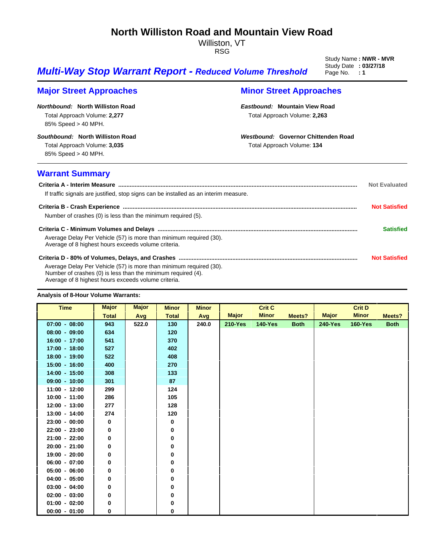### **North Williston Road and Mountain View Road**

Williston, VT RSG

Study Name: **NWR - MVR**<br>Study Date: 03/27/18

## **Multi-Way Stop Warrant Report - Reduced Volume Threshold** Page No. : 1

### **Major Street Approaches Minor Street Approaches**

*Northbound:* **North Williston Road** Total Approach Volume: **2,277** 85% Speed > 40 MPH.

*Southbound:* **North Williston Road**

Total Approach Volume: **3,035** 85% Speed > 40 MPH.

### *Eastbound:* **Mountain View Road** Total Approach Volume: **2,263**

*Westbound:* **Governor Chittenden Road**

Total Approach Volume: **134**

### **Warrant Summary**

| If traffic signals are justified, stop signs can be installed as an interim measure.                                                                                                      | <b>Not Evaluated</b> |
|-------------------------------------------------------------------------------------------------------------------------------------------------------------------------------------------|----------------------|
| Number of crashes (0) is less than the minimum required (5).                                                                                                                              | <b>Not Satisfied</b> |
| Average Delay Per Vehicle (57) is more than minimum required (30).<br>Average of 8 highest hours exceeds volume criteria.                                                                 | <b>Satisfied</b>     |
| Average Delay Per Vehicle (57) is more than minimum required (30).<br>Number of crashes (0) is less than the minimum required (4).<br>Average of 8 highest hours exceeds volume criteria. | <b>Not Satisfied</b> |

#### **Analysis of 8-Hour Volume Warrants:**

| <b>Time</b>     | <b>Major</b> | <b>Major</b> | <b>Minor</b> | <b>Minor</b> |                | <b>Crit C</b>  |             |                | <b>Crit D</b>  |             |
|-----------------|--------------|--------------|--------------|--------------|----------------|----------------|-------------|----------------|----------------|-------------|
|                 | <b>Total</b> | Avg          | <b>Total</b> | Avg          | <b>Major</b>   | <b>Minor</b>   | Meets?      | <b>Major</b>   | <b>Minor</b>   | Meets?      |
| $07:00 - 08:00$ | 943          | 522.0        | 130          | 240.0        | <b>210-Yes</b> | <b>140-Yes</b> | <b>Both</b> | <b>240-Yes</b> | <b>160-Yes</b> | <b>Both</b> |
| $08:00 - 09:00$ | 634          |              | 120          |              |                |                |             |                |                |             |
| $16:00 - 17:00$ | 541          |              | 370          |              |                |                |             |                |                |             |
| $17:00 - 18:00$ | 527          |              | 402          |              |                |                |             |                |                |             |
| $18:00 - 19:00$ | 522          |              | 408          |              |                |                |             |                |                |             |
| $15:00 - 16:00$ | 400          |              | 270          |              |                |                |             |                |                |             |
| $14:00 - 15:00$ | 308          |              | 133          |              |                |                |             |                |                |             |
| $09:00 - 10:00$ | 301          |              | 87           |              |                |                |             |                |                |             |
| $11:00 - 12:00$ | 299          |              | 124          |              |                |                |             |                |                |             |
| $10:00 - 11:00$ | 286          |              | 105          |              |                |                |             |                |                |             |
| $12:00 - 13:00$ | 277          |              | 128          |              |                |                |             |                |                |             |
| $13:00 - 14:00$ | 274          |              | 120          |              |                |                |             |                |                |             |
| $23:00 - 00:00$ | 0            |              | 0            |              |                |                |             |                |                |             |
| $22:00 - 23:00$ | 0            |              | 0            |              |                |                |             |                |                |             |
| $21:00 - 22:00$ | 0            |              | 0            |              |                |                |             |                |                |             |
| $20:00 - 21:00$ | 0            |              | 0            |              |                |                |             |                |                |             |
| $19:00 - 20:00$ | 0            |              | 0            |              |                |                |             |                |                |             |
| $06:00 - 07:00$ | 0            |              | 0            |              |                |                |             |                |                |             |
| $05:00 - 06:00$ | 0            |              | 0            |              |                |                |             |                |                |             |
| $04:00 - 05:00$ | 0            |              | 0            |              |                |                |             |                |                |             |
| $03:00 - 04:00$ | 0            |              | 0            |              |                |                |             |                |                |             |
| $02:00 - 03:00$ | 0            |              | 0            |              |                |                |             |                |                |             |
| $01:00 - 02:00$ | 0            |              | 0            |              |                |                |             |                |                |             |
| $00:00 - 01:00$ | 0            |              | 0            |              |                |                |             |                |                |             |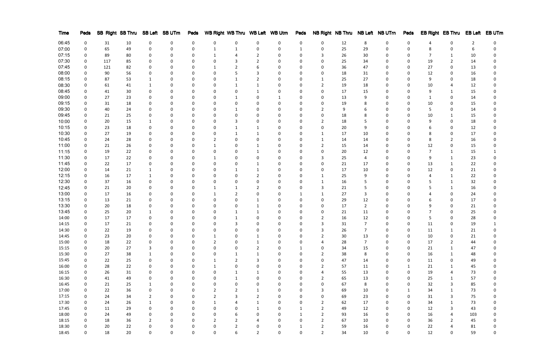| Time  | Peds |        |    |                | SB Right SB Thru SB Left SB UTrn | Peds     | WB Right WB Thru WB Left WB Utrn |                |                  |              | Peds         |                |    |    | NB Right NB Thru NB Left NB UTrn | Peds        |    | EB Right EB Thru | <b>EB Left</b> | EB UTm |
|-------|------|--------|----|----------------|----------------------------------|----------|----------------------------------|----------------|------------------|--------------|--------------|----------------|----|----|----------------------------------|-------------|----|------------------|----------------|--------|
| 06:45 |      | 31     | 10 | 0              | 0                                | 0        | 0                                | 0              | 0                | 0            | 0            | 0              | 12 | 8  | 0                                | 0           |    | 0                | 2              |        |
| 07:00 |      | 65     | 49 |                | 0                                |          |                                  |                |                  |              |              | 0              | 25 | 29 |                                  |             |    |                  |                |        |
| 07:15 |      | 89     | 80 |                | 0                                |          |                                  |                |                  | <sup>0</sup> |              |                | 26 | 30 |                                  | $\Omega$    |    |                  | 10             |        |
| 07:30 |      | 117    | 85 |                | <sup>0</sup>                     |          | 0                                |                |                  | 0            |              | 0              | 25 | 34 |                                  | 0           | 19 | 2                | 14             |        |
| 07:45 |      | 121    | 82 |                | 0                                |          |                                  |                |                  |              |              | 0              | 36 | 47 |                                  | $\Omega$    | 27 | 0                | 13             |        |
| 08:00 |      | 90     | 56 |                | $\Omega$                         |          |                                  |                |                  | 0            |              |                | 18 | 31 |                                  |             | 12 | 0                | 16             |        |
| 08:15 |      | 87     | 53 |                | 0                                |          |                                  |                |                  |              |              |                | 25 | 27 |                                  |             | 9  | 0                | 18             |        |
| 08:30 |      | 61     | 41 |                | <sup>0</sup>                     |          |                                  |                |                  | <sup>0</sup> |              |                | 19 | 18 |                                  |             | 10 | 4                | 12             |        |
| 08:45 |      | 41     | 30 |                | <sup>0</sup>                     |          | 0                                | 0              |                  |              |              | 0              | 17 | 15 |                                  |             | 9  |                  | 15             |        |
| 09:00 |      | 27     | 23 |                | 0                                |          |                                  |                |                  | -1           |              | 0              | 13 |    |                                  |             |    | 0                | 14             |        |
| 09:15 |      | 31     | 18 |                | 0                                |          |                                  |                |                  |              |              |                | 19 |    |                                  |             | 10 | 0                | 15             |        |
|       |      |        |    |                |                                  |          |                                  |                |                  |              |              |                |    |    |                                  |             |    |                  |                |        |
| 09:30 |      | 40     | 24 |                | 0                                |          |                                  | 1              |                  | 0            |              |                | 9  |    |                                  |             | 5  | 0                | 14             |        |
| 09:45 |      | 21     | 25 |                | 0                                |          |                                  | 0              |                  | <sup>0</sup> |              | 0              | 18 |    |                                  |             | 10 | 1                | 15             |        |
| 10:00 |      | 20     | 15 |                | 0                                |          | 0                                |                |                  | 0            |              |                | 18 |    |                                  |             | 9  | 0                | 18             |        |
| 10:15 |      | 23     | 18 |                | 0                                | $\Omega$ | n                                |                |                  | 0            | <sup>0</sup> | 0              | 20 | q  | U                                |             |    | 0                | 12             |        |
| 10:30 |      | 27     | 19 |                | 0                                |          |                                  |                |                  | 0            |              |                | 17 | 10 |                                  |             |    | 0                | 17             |        |
| 10:45 |      | 24     | 28 |                | <sup>0</sup>                     |          |                                  | 0              |                  |              |              |                | 14 | 14 |                                  |             |    | 2                | 16             |        |
| 11:00 |      | 21     | 26 |                | <sup>0</sup>                     |          |                                  | 0              |                  |              |              |                | 15 | 14 |                                  |             | 12 | 0                | 15             |        |
| 11:15 |      | 19     | 22 |                | <sup>0</sup>                     |          |                                  | 0              |                  |              |              |                | 20 | 12 |                                  |             |    |                  | 15             |        |
| 11:30 |      | 17     | 22 |                | <sup>0</sup>                     |          |                                  | $\Omega$       |                  |              |              |                | 25 |    |                                  |             | 9  |                  | 23             |        |
| 11:45 |      | 22     | 17 |                | 0                                |          |                                  |                |                  |              |              |                | 21 | 17 |                                  |             | 13 |                  | 22             |        |
| 12:00 |      | 14     | 21 |                | 0                                |          |                                  |                |                  | 0            |              |                | 17 | 10 |                                  |             | 12 | 0                | 21             |        |
| 12:15 |      | 16     | 17 |                | 0                                |          | 0                                | 0              |                  | <sup>0</sup> |              |                | 25 | 9  |                                  |             |    | 1                | 22             |        |
| 12:30 |      | 37     | 16 |                | 0                                |          | 0                                | 0              |                  | <sup>0</sup> |              |                | 16 |    |                                  |             |    |                  | 32             |        |
| 12:45 |      | 21     | 20 |                | 0                                |          |                                  |                |                  | 0            |              |                | 21 |    |                                  |             |    |                  | 16             |        |
| 13:00 |      | 17     | 16 |                | 0                                |          |                                  |                |                  |              |              |                | 27 |    |                                  |             |    | 0                | 24             |        |
| 13:15 |      | 13     | 21 |                | 0                                |          |                                  | 0              |                  |              |              |                | 29 | 12 |                                  |             |    | 0                | 17             |        |
| 13:30 |      | 20     | 18 |                | 0                                |          |                                  | 0              |                  | <sup>0</sup> |              |                | 17 | 2  |                                  |             |    | 0                | 21             |        |
| 13:45 |      | 25     | 20 |                | 0                                |          | 0                                |                |                  | 0            |              | 0              | 21 | 11 | U                                |             |    | 0                | 25             |        |
| 14:00 |      | 17     | 17 |                | <sup>0</sup>                     |          | ი                                |                |                  | U            |              | 2              | 16 | 12 |                                  |             |    | 0                | 28             |        |
| 14:15 |      | 17     | 21 |                | 0                                |          |                                  |                |                  |              |              |                | 31 | 7  |                                  |             | 11 | 0                | 19             |        |
| 14:30 |      | 22     | 19 | $\Omega$       | 0                                | 0        | 0                                | 0              | 0                | 0            | $\Omega$     | 3              | 26 | 7  | 0                                | 0           | 11 | $\mathbf{1}$     | 21             |        |
| 14:45 | 0    | 23     | 20 | 0              | O                                |          |                                  | $\Omega$       |                  | O            |              |                | 30 | 13 | O                                |             | 10 | 0                | 21             |        |
| 15:00 | 0    | 18     | 22 | 0              | 0                                | 0        | 2                                | 0              | 1                | 0            | 0            | 4              | 28 | 7  | 0                                | 0           | 17 | $\overline{2}$   | 44             | 0      |
| 15:15 | 0    | $20\,$ | 27 | $\mathbf{3}$   | $\mathbf{0}$                     | 0        | $\mathbf 0$                      | 0              | $\overline{2}$   | 0            | 1            | 0              | 34 | 15 | 0                                | $\mathbf 0$ | 21 | $\mathbf{1}$     | 47             | 0      |
| 15:30 | 0    | 27     | 38 | $\mathbf{1}$   | 0                                | 0        | 0                                | 1              | $\mathbf{1}$     | 0            | 0            | $\overline{2}$ | 38 | 8  | 0                                | 0           | 16 | $\mathbf{1}$     | 48             | 0      |
| 15:45 |      |        | 25 |                | 0                                | 0        |                                  |                |                  | 0            | 0            |                | 47 |    | 0                                |             |    |                  |                | 0      |
|       | 0    | 22     |    | 0              |                                  |          | $\mathbf{1}$                     | $\overline{2}$ | 3                |              |              | 0              |    | 14 |                                  | 0           | 11 | 0                | 49             |        |
| 16:00 | 0    | 28     | 22 | 0              | 0                                | 0        | 1                                | 0              | $\boldsymbol{0}$ | 0            | 0            | $\overline{2}$ | 57 | 11 | 0                                | 1           | 21 | $\mathbf{1}$     | 45             | 0      |
| 16:15 | 0    | 26     | 31 | 0              | 0                                | 0        | 0                                | 1              | $\mathbf{1}$     | 0            | 0            | $\overline{4}$ | 55 | 13 | 0                                | 0           | 19 | 4                | 73             | 0      |
| 16:30 | 0    | 41     | 49 | 0              | 0                                | 0        | 0                                | $\mathbf{1}$   | $\boldsymbol{0}$ | 0            | 0            | $\overline{2}$ | 65 | 13 | 0                                | 0           | 25 | $\mathbf{1}$     | 57             | 0      |
| 16:45 | 0    | 21     | 25 | $\mathbf{1}$   | 0                                | 0        | 0                                | 0              | $\boldsymbol{0}$ | 0            | 0            | 0              | 67 | 8  | 0                                | 0           | 32 | $\mathbf{3}$     | 85             | 0      |
| 17:00 | 0    | 22     | 36 | 0              | 0                                | 0        | $\overline{2}$                   | $\overline{2}$ | $\mathbf{1}$     | 0            | 0            | 3              | 69 | 10 | 0                                | 1           | 34 | $\mathbf{1}$     | 73             | 0      |
| 17:15 | 0    | 24     | 34 | $\overline{2}$ | 0                                | 0        | $\overline{2}$                   | 3              | $\overline{2}$   | 0            | 0            | 0              | 69 | 23 | 0                                | 0           | 31 | $\mathbf{3}$     | 75             | 0      |
| 17:30 | 0    | 24     | 26 | 1              | 0                                | 0        | $\mathbf{1}$                     | 4              | $\mathbf{1}$     | 0            | 0            | $\overline{2}$ | 62 | 17 | 0                                | 0           | 34 | $\mathbf{1}$     | 73             | 0      |
| 17:45 | 0    | 11     | 29 | $\pmb{0}$      | $\mathbf{0}$                     | 0        | 0                                | 0              | $\mathbf{1}$     | 0            | 1            | $\overline{2}$ | 49 | 12 | 0                                | 0           | 12 | $\mathbf{3}$     | 43             | 0      |
| 18:00 | 0    | 24     | 49 | 0              | 0                                | 0        | 0                                | 6              | $\boldsymbol{0}$ | 0            | 1            | $\overline{2}$ | 93 | 16 | 0                                | 0           | 16 | 4                | 103            | 0      |
| 18:15 | 0    | 18     | 36 | $\overline{2}$ | 0                                | 0        | $\overline{2}$                   | 2              | 4                | 0            | 0            | $\overline{2}$ | 67 | 10 | 0                                | 0           | 36 | $\overline{2}$   | 45             | 0      |
| 18:30 | 0    | 20     | 22 | 0              | 0                                | 0        | 0                                | $\mathbf 2$    | 0                | 0            |              | $\overline{2}$ | 59 | 16 | 0                                | 0           | 22 | 4                | 81             | 0      |
| 18:45 | 0    | 18     | 20 | 0              | 0                                | 0        | 0                                | 6              | $\overline{2}$   | 0            | 0            | $\overline{2}$ | 34 | 10 | 0                                | 0           | 12 | 0                | 59             | 0      |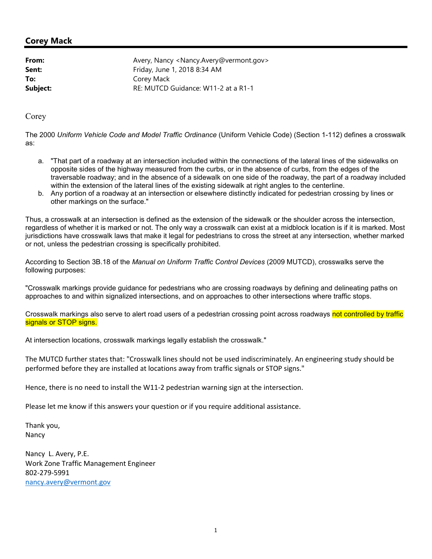### **Corey Mack**

| Avery, Nancy <nancy.avery@vermont.gov></nancy.avery@vermont.gov> |
|------------------------------------------------------------------|
| Friday, June 1, 2018 8:34 AM                                     |
| Corey Mack                                                       |
| RE: MUTCD Guidance: W11-2 at a R1-1                              |
|                                                                  |

Corey

The 2000 *Uniform Vehicle Code and Model Traffic Ordinance* (Uniform Vehicle Code) (Section 1-112) defines a crosswalk as:

- a. "That part of a roadway at an intersection included within the connections of the lateral lines of the sidewalks on opposite sides of the highway measured from the curbs, or in the absence of curbs, from the edges of the traversable roadway; and in the absence of a sidewalk on one side of the roadway, the part of a roadway included within the extension of the lateral lines of the existing sidewalk at right angles to the centerline.
- b. Any portion of a roadway at an intersection or elsewhere distinctly indicated for pedestrian crossing by lines or other markings on the surface."

Thus, a crosswalk at an intersection is defined as the extension of the sidewalk or the shoulder across the intersection, regardless of whether it is marked or not. The only way a crosswalk can exist at a midblock location is if it is marked. Most jurisdictions have crosswalk laws that make it legal for pedestrians to cross the street at any intersection, whether marked or not, unless the pedestrian crossing is specifically prohibited.

According to Section 3B.18 of the *Manual on Uniform Traffic Control Devices* (2009 MUTCD), crosswalks serve the following purposes:

"Crosswalk markings provide guidance for pedestrians who are crossing roadways by defining and delineating paths on approaches to and within signalized intersections, and on approaches to other intersections where traffic stops.

Crosswalk markings also serve to alert road users of a pedestrian crossing point across roadways not controlled by traffic signals or STOP signs.

At intersection locations, crosswalk markings legally establish the crosswalk."

The MUTCD further states that: "Crosswalk lines should not be used indiscriminately. An engineering study should be performed before they are installed at locations away from traffic signals or STOP signs."

Hence, there is no need to install the W11-2 pedestrian warning sign at the intersection.

Please let me know if this answers your question or if you require additional assistance.

Thank you, Nancy

Nancy L. Avery, P.E. Work Zone Traffic Management Engineer 802-279-5991 nancy.avery@vermont.gov